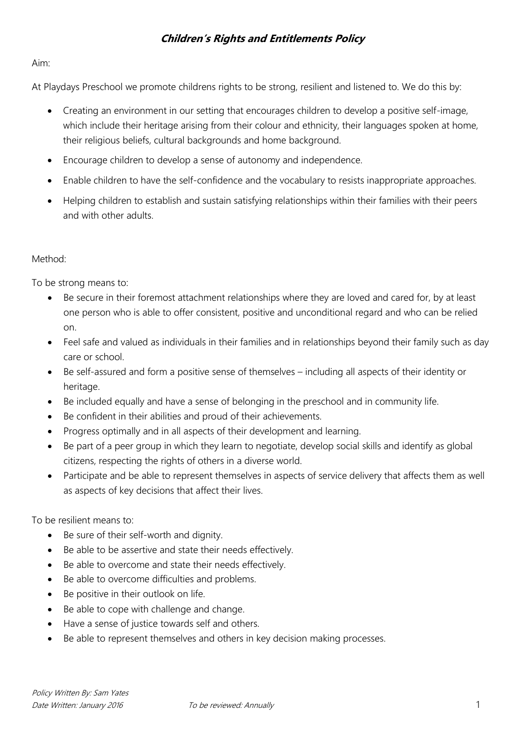## **Children's Rights and Entitlements Policy**

## Aim:

At Playdays Preschool we promote childrens rights to be strong, resilient and listened to. We do this by:

- Creating an environment in our setting that encourages children to develop a positive self-image, which include their heritage arising from their colour and ethnicity, their languages spoken at home, their religious beliefs, cultural backgrounds and home background.
- Encourage children to develop a sense of autonomy and independence.
- Enable children to have the self-confidence and the vocabulary to resists inappropriate approaches.
- Helping children to establish and sustain satisfying relationships within their families with their peers and with other adults.

## Method:

To be strong means to:

- Be secure in their foremost attachment relationships where they are loved and cared for, by at least one person who is able to offer consistent, positive and unconditional regard and who can be relied on.
- Feel safe and valued as individuals in their families and in relationships beyond their family such as day care or school.
- Be self-assured and form a positive sense of themselves including all aspects of their identity or heritage.
- Be included equally and have a sense of belonging in the preschool and in community life.
- Be confident in their abilities and proud of their achievements.
- Progress optimally and in all aspects of their development and learning.
- Be part of a peer group in which they learn to negotiate, develop social skills and identify as global citizens, respecting the rights of others in a diverse world.
- Participate and be able to represent themselves in aspects of service delivery that affects them as well as aspects of key decisions that affect their lives.

To be resilient means to:

- Be sure of their self-worth and dignity.
- Be able to be assertive and state their needs effectively.
- Be able to overcome and state their needs effectively.
- Be able to overcome difficulties and problems.
- Be positive in their outlook on life.
- Be able to cope with challenge and change.
- Have a sense of justice towards self and others.
- Be able to represent themselves and others in key decision making processes.